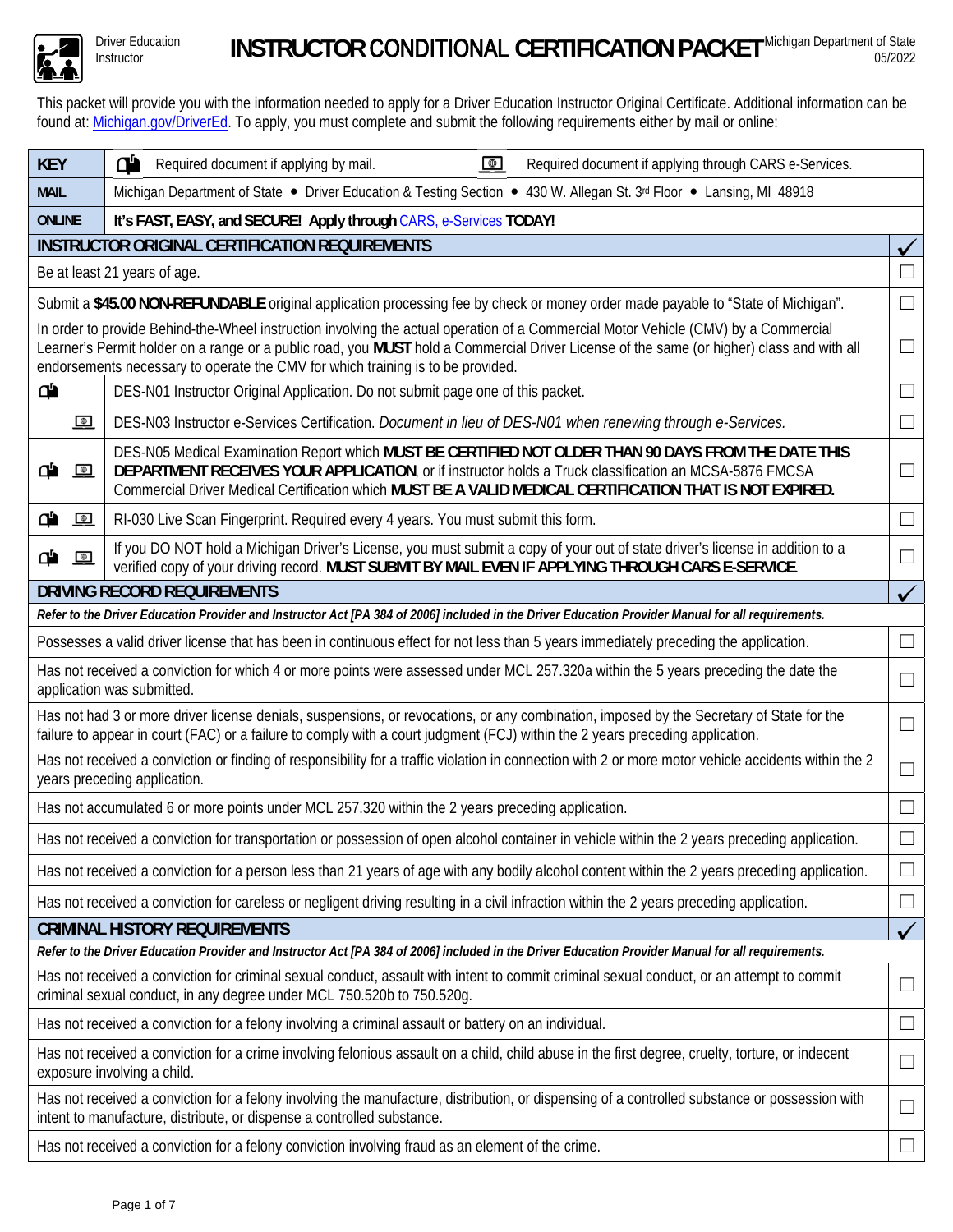

Driver Education

This packet will provide you with the information needed to apply for a Driver Education Instructor Original Certificate. Additional information can be found at: Michigan.gov/DriverEd. To apply, you must complete and submit the following requirements either by mail or online:

| <b>KEY</b>                                                                                                                                                                                                                                                                                                                                                          | ď<br>$\bigoplus$<br>Required document if applying by mail.<br>Required document if applying through CARS e-Services.                                                                                                                                                                                                       |                   |  |  |  |  |  |  |  |
|---------------------------------------------------------------------------------------------------------------------------------------------------------------------------------------------------------------------------------------------------------------------------------------------------------------------------------------------------------------------|----------------------------------------------------------------------------------------------------------------------------------------------------------------------------------------------------------------------------------------------------------------------------------------------------------------------------|-------------------|--|--|--|--|--|--|--|
| <b>MAIL</b>                                                                                                                                                                                                                                                                                                                                                         | Michigan Department of State • Driver Education & Testing Section • 430 W. Allegan St. 3rd Floor • Lansing, MI 48918                                                                                                                                                                                                       |                   |  |  |  |  |  |  |  |
| <b>ONLINE</b><br>It's FAST, EASY, and SECURE! Apply through CARS, e-Services TODAY!                                                                                                                                                                                                                                                                                 |                                                                                                                                                                                                                                                                                                                            |                   |  |  |  |  |  |  |  |
| <b>INSTRUCTOR ORIGINAL CERTIFICATION REQUIREMENTS</b>                                                                                                                                                                                                                                                                                                               |                                                                                                                                                                                                                                                                                                                            |                   |  |  |  |  |  |  |  |
|                                                                                                                                                                                                                                                                                                                                                                     | Be at least 21 years of age.                                                                                                                                                                                                                                                                                               |                   |  |  |  |  |  |  |  |
|                                                                                                                                                                                                                                                                                                                                                                     | Submit a \$45.00 NON-REFUNDABLE original application processing fee by check or money order made payable to "State of Michigan".                                                                                                                                                                                           |                   |  |  |  |  |  |  |  |
| In order to provide Behind-the-Wheel instruction involving the actual operation of a Commercial Motor Vehicle (CMV) by a Commercial<br>Learner's Permit holder on a range or a public road, you MUST hold a Commercial Driver License of the same (or higher) class and with all<br>endorsements necessary to operate the CMV for which training is to be provided. |                                                                                                                                                                                                                                                                                                                            |                   |  |  |  |  |  |  |  |
| ď                                                                                                                                                                                                                                                                                                                                                                   | DES-N01 Instructor Original Application. Do not submit page one of this packet.                                                                                                                                                                                                                                            |                   |  |  |  |  |  |  |  |
| $\bigcirc$                                                                                                                                                                                                                                                                                                                                                          | DES-N03 Instructor e-Services Certification. Document in lieu of DES-N01 when renewing through e-Services.                                                                                                                                                                                                                 | - 1               |  |  |  |  |  |  |  |
| $\bullet$<br>ው                                                                                                                                                                                                                                                                                                                                                      | DES-N05 Medical Examination Report which MUST BE CERTIFIED NOT OLDER THAN 90 DAYS FROM THE DATE THIS<br>DEPARTMENT RECEIVES YOUR APPLICATION, or if instructor holds a Truck classification an MCSA-5876 FMCSA<br>Commercial Driver Medical Certification which MUST BE A VALID MEDICAL CERTIFICATION THAT IS NOT EXPIRED. |                   |  |  |  |  |  |  |  |
| æ<br>$\blacksquare$                                                                                                                                                                                                                                                                                                                                                 | RI-030 Live Scan Fingerprint. Required every 4 years. You must submit this form.                                                                                                                                                                                                                                           |                   |  |  |  |  |  |  |  |
| ď<br>$\bigoplus$                                                                                                                                                                                                                                                                                                                                                    | If you DO NOT hold a Michigan Driver's License, you must submit a copy of your out of state driver's license in addition to a<br>verified copy of your driving record. MUST SUBMIT BY MAIL EVEN IF APPLYING THROUGH CARS E-SERVICE.                                                                                        |                   |  |  |  |  |  |  |  |
|                                                                                                                                                                                                                                                                                                                                                                     | <b>DRIVING RECORD REQUIREMENTS</b>                                                                                                                                                                                                                                                                                         |                   |  |  |  |  |  |  |  |
|                                                                                                                                                                                                                                                                                                                                                                     | Refer to the Driver Education Provider and Instructor Act [PA 384 of 2006] included in the Driver Education Provider Manual for all requirements.                                                                                                                                                                          |                   |  |  |  |  |  |  |  |
| Possesses a valid driver license that has been in continuous effect for not less than 5 years immediately preceding the application.<br>$\perp$                                                                                                                                                                                                                     |                                                                                                                                                                                                                                                                                                                            |                   |  |  |  |  |  |  |  |
| Has not received a conviction for which 4 or more points were assessed under MCL 257.320a within the 5 years preceding the date the<br>$\Box$<br>application was submitted.                                                                                                                                                                                         |                                                                                                                                                                                                                                                                                                                            |                   |  |  |  |  |  |  |  |
|                                                                                                                                                                                                                                                                                                                                                                     | Has not had 3 or more driver license denials, suspensions, or revocations, or any combination, imposed by the Secretary of State for the<br>failure to appear in court (FAC) or a failure to comply with a court judgment (FCJ) within the 2 years preceding application.                                                  |                   |  |  |  |  |  |  |  |
|                                                                                                                                                                                                                                                                                                                                                                     | Has not received a conviction or finding of responsibility for a traffic violation in connection with 2 or more motor vehicle accidents within the 2<br>years preceding application.                                                                                                                                       | $\perp$           |  |  |  |  |  |  |  |
|                                                                                                                                                                                                                                                                                                                                                                     | Has not accumulated 6 or more points under MCL 257.320 within the 2 years preceding application.                                                                                                                                                                                                                           |                   |  |  |  |  |  |  |  |
|                                                                                                                                                                                                                                                                                                                                                                     | Has not received a conviction for transportation or possession of open alcohol container in vehicle within the 2 years preceding application                                                                                                                                                                               |                   |  |  |  |  |  |  |  |
| Has not received a conviction for a person less than 21 years of age with any bodily alcohol content within the 2 years preceding application.<br>$\Box$                                                                                                                                                                                                            |                                                                                                                                                                                                                                                                                                                            |                   |  |  |  |  |  |  |  |
|                                                                                                                                                                                                                                                                                                                                                                     | Has not received a conviction for careless or negligent driving resulting in a civil infraction within the 2 years preceding application.                                                                                                                                                                                  | $\vert \ \ \vert$ |  |  |  |  |  |  |  |
| <b>CRIMINAL HISTORY REQUIREMENTS</b>                                                                                                                                                                                                                                                                                                                                |                                                                                                                                                                                                                                                                                                                            |                   |  |  |  |  |  |  |  |
| Refer to the Driver Education Provider and Instructor Act [PA 384 of 2006] included in the Driver Education Provider Manual for all requirements.                                                                                                                                                                                                                   |                                                                                                                                                                                                                                                                                                                            |                   |  |  |  |  |  |  |  |
| Has not received a conviction for criminal sexual conduct, assault with intent to commit criminal sexual conduct, or an attempt to commit<br>$\Box$<br>criminal sexual conduct, in any degree under MCL 750.520b to 750.520g.                                                                                                                                       |                                                                                                                                                                                                                                                                                                                            |                   |  |  |  |  |  |  |  |
| Has not received a conviction for a felony involving a criminal assault or battery on an individual.                                                                                                                                                                                                                                                                |                                                                                                                                                                                                                                                                                                                            |                   |  |  |  |  |  |  |  |
| Has not received a conviction for a crime involving felonious assault on a child, child abuse in the first degree, cruelty, torture, or indecent<br>⊔<br>exposure involving a child.                                                                                                                                                                                |                                                                                                                                                                                                                                                                                                                            |                   |  |  |  |  |  |  |  |
| Has not received a conviction for a felony involving the manufacture, distribution, or dispensing of a controlled substance or possession with<br>$\overline{\phantom{0}}$<br>intent to manufacture, distribute, or dispense a controlled substance.                                                                                                                |                                                                                                                                                                                                                                                                                                                            |                   |  |  |  |  |  |  |  |
|                                                                                                                                                                                                                                                                                                                                                                     | Has not received a conviction for a felony conviction involving fraud as an element of the crime.<br>$\vert \ \ \vert$                                                                                                                                                                                                     |                   |  |  |  |  |  |  |  |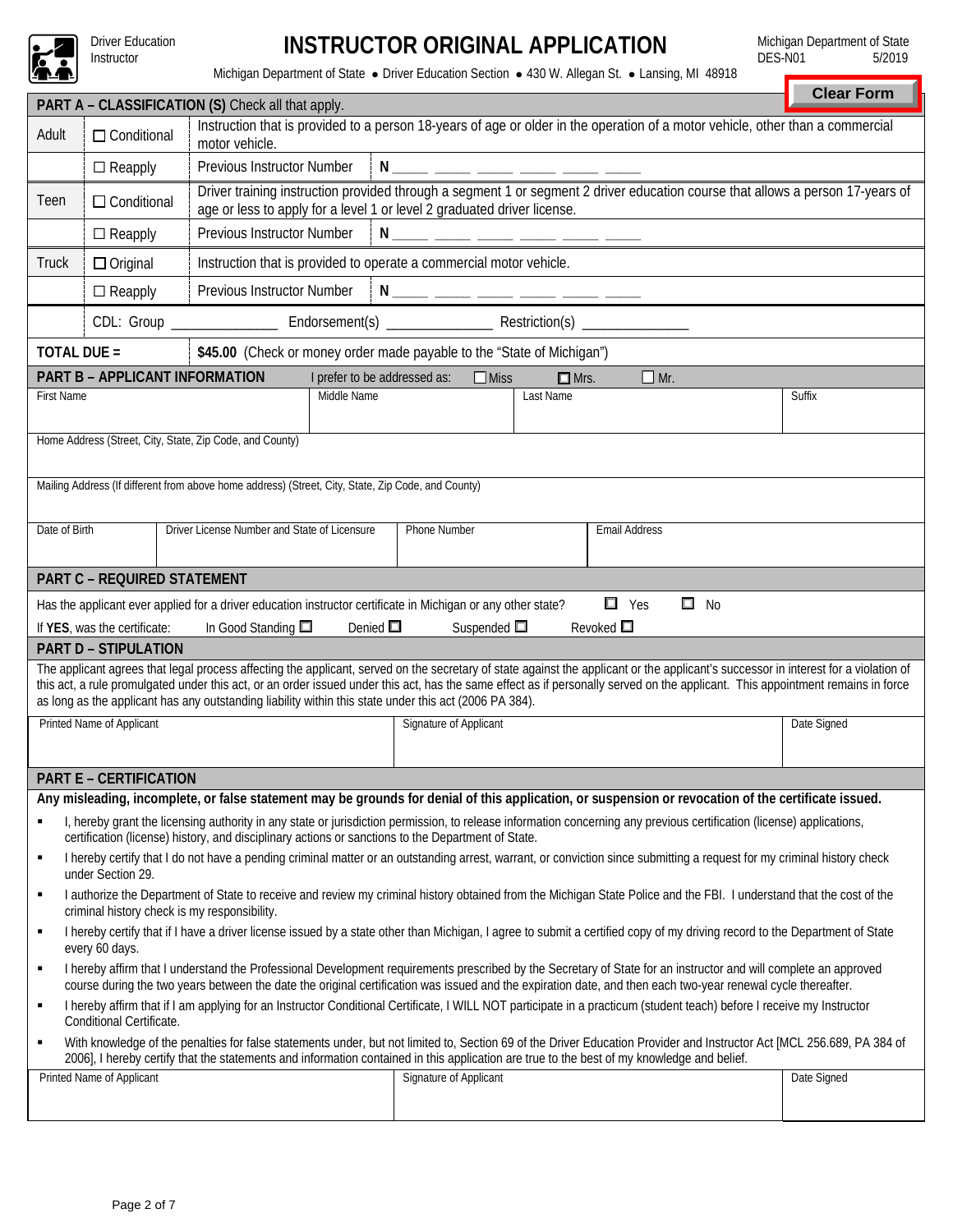

Driver Education<br>Instructor

## Instructor **INSTRUCTOR ORIGINAL APPLICATION**

Michigan Department of State<br>DES-N01 5/2019  $DES-N01$ 

Michigan Department of State · Driver Education Section · 430 W. Allegan St. · Lansing, MI 48918

|                                                                                                                                                                                                                           |                                                                                                                                                                                                                                                                                                                                       |                                                                                                                                                                                                                                                                                                                                                                                                                                                                                  | <b>Clear Form</b> |  |  |  |  |  |  |  |  |
|---------------------------------------------------------------------------------------------------------------------------------------------------------------------------------------------------------------------------|---------------------------------------------------------------------------------------------------------------------------------------------------------------------------------------------------------------------------------------------------------------------------------------------------------------------------------------|----------------------------------------------------------------------------------------------------------------------------------------------------------------------------------------------------------------------------------------------------------------------------------------------------------------------------------------------------------------------------------------------------------------------------------------------------------------------------------|-------------------|--|--|--|--|--|--|--|--|
| PART A - CLASSIFICATION (S) Check all that apply.<br>Instruction that is provided to a person 18-years of age or older in the operation of a motor vehicle, other than a commercial                                       |                                                                                                                                                                                                                                                                                                                                       |                                                                                                                                                                                                                                                                                                                                                                                                                                                                                  |                   |  |  |  |  |  |  |  |  |
| Adult                                                                                                                                                                                                                     | $\Box$ Conditional<br>motor vehicle.                                                                                                                                                                                                                                                                                                  |                                                                                                                                                                                                                                                                                                                                                                                                                                                                                  |                   |  |  |  |  |  |  |  |  |
|                                                                                                                                                                                                                           | $\Box$ Reapply                                                                                                                                                                                                                                                                                                                        | Previous Instructor Number<br>N ____ ____ ____ ____ ____ ____                                                                                                                                                                                                                                                                                                                                                                                                                    |                   |  |  |  |  |  |  |  |  |
| Teen                                                                                                                                                                                                                      | $\Box$ Conditional                                                                                                                                                                                                                                                                                                                    | Driver training instruction provided through a segment 1 or segment 2 driver education course that allows a person 17-years of<br>age or less to apply for a level 1 or level 2 graduated driver license.                                                                                                                                                                                                                                                                        |                   |  |  |  |  |  |  |  |  |
|                                                                                                                                                                                                                           | $\Box$ Reapply                                                                                                                                                                                                                                                                                                                        | Previous Instructor Number<br>N _____ _____ _____ _____ _____ ____                                                                                                                                                                                                                                                                                                                                                                                                               |                   |  |  |  |  |  |  |  |  |
| <b>Truck</b>                                                                                                                                                                                                              | $\Box$ Original                                                                                                                                                                                                                                                                                                                       | Instruction that is provided to operate a commercial motor vehicle.                                                                                                                                                                                                                                                                                                                                                                                                              |                   |  |  |  |  |  |  |  |  |
|                                                                                                                                                                                                                           | Previous Instructor Number<br><u>N____ ____ ____ ____ ____ ____</u><br>$\Box$ Reapply                                                                                                                                                                                                                                                 |                                                                                                                                                                                                                                                                                                                                                                                                                                                                                  |                   |  |  |  |  |  |  |  |  |
|                                                                                                                                                                                                                           |                                                                                                                                                                                                                                                                                                                                       |                                                                                                                                                                                                                                                                                                                                                                                                                                                                                  |                   |  |  |  |  |  |  |  |  |
| TOTAL DUE =                                                                                                                                                                                                               |                                                                                                                                                                                                                                                                                                                                       | \$45.00 (Check or money order made payable to the "State of Michigan")                                                                                                                                                                                                                                                                                                                                                                                                           |                   |  |  |  |  |  |  |  |  |
|                                                                                                                                                                                                                           | <b>PART B - APPLICANT INFORMATION</b>                                                                                                                                                                                                                                                                                                 | I prefer to be addressed as:<br>$\Box$ Mr.<br>$\Box$ Miss<br>$\Box$ Mrs.                                                                                                                                                                                                                                                                                                                                                                                                         |                   |  |  |  |  |  |  |  |  |
| <b>First Name</b>                                                                                                                                                                                                         |                                                                                                                                                                                                                                                                                                                                       | Middle Name<br>Last Name                                                                                                                                                                                                                                                                                                                                                                                                                                                         | Suffix            |  |  |  |  |  |  |  |  |
|                                                                                                                                                                                                                           |                                                                                                                                                                                                                                                                                                                                       |                                                                                                                                                                                                                                                                                                                                                                                                                                                                                  |                   |  |  |  |  |  |  |  |  |
|                                                                                                                                                                                                                           |                                                                                                                                                                                                                                                                                                                                       | Home Address (Street, City, State, Zip Code, and County)                                                                                                                                                                                                                                                                                                                                                                                                                         |                   |  |  |  |  |  |  |  |  |
|                                                                                                                                                                                                                           |                                                                                                                                                                                                                                                                                                                                       |                                                                                                                                                                                                                                                                                                                                                                                                                                                                                  |                   |  |  |  |  |  |  |  |  |
|                                                                                                                                                                                                                           |                                                                                                                                                                                                                                                                                                                                       | Mailing Address (If different from above home address) (Street, City, State, Zip Code, and County)                                                                                                                                                                                                                                                                                                                                                                               |                   |  |  |  |  |  |  |  |  |
| Date of Birth                                                                                                                                                                                                             |                                                                                                                                                                                                                                                                                                                                       | Driver License Number and State of Licensure<br>Phone Number<br><b>Email Address</b>                                                                                                                                                                                                                                                                                                                                                                                             |                   |  |  |  |  |  |  |  |  |
|                                                                                                                                                                                                                           |                                                                                                                                                                                                                                                                                                                                       |                                                                                                                                                                                                                                                                                                                                                                                                                                                                                  |                   |  |  |  |  |  |  |  |  |
|                                                                                                                                                                                                                           | <b>PART C - REQUIRED STATEMENT</b>                                                                                                                                                                                                                                                                                                    |                                                                                                                                                                                                                                                                                                                                                                                                                                                                                  |                   |  |  |  |  |  |  |  |  |
|                                                                                                                                                                                                                           |                                                                                                                                                                                                                                                                                                                                       | $\Box$ Yes<br>$\square$ No<br>Has the applicant ever applied for a driver education instructor certificate in Michigan or any other state?                                                                                                                                                                                                                                                                                                                                       |                   |  |  |  |  |  |  |  |  |
|                                                                                                                                                                                                                           | If YES, was the certificate:                                                                                                                                                                                                                                                                                                          | Denied $\square$<br>Suspended $\square$<br>Revoked $\square$<br>In Good Standing $\square$                                                                                                                                                                                                                                                                                                                                                                                       |                   |  |  |  |  |  |  |  |  |
|                                                                                                                                                                                                                           | <b>PART D - STIPULATION</b>                                                                                                                                                                                                                                                                                                           |                                                                                                                                                                                                                                                                                                                                                                                                                                                                                  |                   |  |  |  |  |  |  |  |  |
|                                                                                                                                                                                                                           |                                                                                                                                                                                                                                                                                                                                       | The applicant agrees that legal process affecting the applicant, served on the secretary of state against the applicant or the applicant's successor in interest for a violation of<br>this act, a rule promulgated under this act, or an order issued under this act, has the same effect as if personally served on the applicant. This appointment remains in force<br>as long as the applicant has any outstanding liability within this state under this act (2006 PA 384). |                   |  |  |  |  |  |  |  |  |
|                                                                                                                                                                                                                           | Printed Name of Applicant                                                                                                                                                                                                                                                                                                             | Signature of Applicant                                                                                                                                                                                                                                                                                                                                                                                                                                                           | Date Signed       |  |  |  |  |  |  |  |  |
|                                                                                                                                                                                                                           |                                                                                                                                                                                                                                                                                                                                       |                                                                                                                                                                                                                                                                                                                                                                                                                                                                                  |                   |  |  |  |  |  |  |  |  |
|                                                                                                                                                                                                                           | <b>PART E - CERTIFICATION</b>                                                                                                                                                                                                                                                                                                         |                                                                                                                                                                                                                                                                                                                                                                                                                                                                                  |                   |  |  |  |  |  |  |  |  |
|                                                                                                                                                                                                                           |                                                                                                                                                                                                                                                                                                                                       | Any misleading, incomplete, or false statement may be grounds for denial of this application, or suspension or revocation of the certificate issued.                                                                                                                                                                                                                                                                                                                             |                   |  |  |  |  |  |  |  |  |
|                                                                                                                                                                                                                           |                                                                                                                                                                                                                                                                                                                                       | I, hereby grant the licensing authority in any state or jurisdiction permission, to release information concerning any previous certification (license) applications,<br>certification (license) history, and disciplinary actions or sanctions to the Department of State.                                                                                                                                                                                                      |                   |  |  |  |  |  |  |  |  |
| ٠                                                                                                                                                                                                                         | under Section 29.                                                                                                                                                                                                                                                                                                                     | I hereby certify that I do not have a pending criminal matter or an outstanding arrest, warrant, or conviction since submitting a request for my criminal history check                                                                                                                                                                                                                                                                                                          |                   |  |  |  |  |  |  |  |  |
| I authorize the Department of State to receive and review my criminal history obtained from the Michigan State Police and the FBI. I understand that the cost of the<br>٠<br>criminal history check is my responsibility. |                                                                                                                                                                                                                                                                                                                                       |                                                                                                                                                                                                                                                                                                                                                                                                                                                                                  |                   |  |  |  |  |  |  |  |  |
| I hereby certify that if I have a driver license issued by a state other than Michigan, I agree to submit a certified copy of my driving record to the Department of State<br>٠                                           |                                                                                                                                                                                                                                                                                                                                       |                                                                                                                                                                                                                                                                                                                                                                                                                                                                                  |                   |  |  |  |  |  |  |  |  |
| every 60 days.<br>I hereby affirm that I understand the Professional Development requirements prescribed by the Secretary of State for an instructor and will complete an approved<br>$\blacksquare$                      |                                                                                                                                                                                                                                                                                                                                       |                                                                                                                                                                                                                                                                                                                                                                                                                                                                                  |                   |  |  |  |  |  |  |  |  |
| $\blacksquare$                                                                                                                                                                                                            | course during the two years between the date the original certification was issued and the expiration date, and then each two-year renewal cycle thereafter.<br>I hereby affirm that if I am applying for an Instructor Conditional Certificate, I WILL NOT participate in a practicum (student teach) before I receive my Instructor |                                                                                                                                                                                                                                                                                                                                                                                                                                                                                  |                   |  |  |  |  |  |  |  |  |
| Conditional Certificate.<br>With knowledge of the penalties for false statements under, but not limited to, Section 69 of the Driver Education Provider and Instructor Act [MCL 256.689, PA 384 of<br>٠                   |                                                                                                                                                                                                                                                                                                                                       |                                                                                                                                                                                                                                                                                                                                                                                                                                                                                  |                   |  |  |  |  |  |  |  |  |
| 2006], I hereby certify that the statements and information contained in this application are true to the best of my knowledge and belief.                                                                                |                                                                                                                                                                                                                                                                                                                                       |                                                                                                                                                                                                                                                                                                                                                                                                                                                                                  |                   |  |  |  |  |  |  |  |  |
|                                                                                                                                                                                                                           | Printed Name of Applicant<br>Signature of Applicant<br>Date Signed                                                                                                                                                                                                                                                                    |                                                                                                                                                                                                                                                                                                                                                                                                                                                                                  |                   |  |  |  |  |  |  |  |  |
|                                                                                                                                                                                                                           |                                                                                                                                                                                                                                                                                                                                       |                                                                                                                                                                                                                                                                                                                                                                                                                                                                                  |                   |  |  |  |  |  |  |  |  |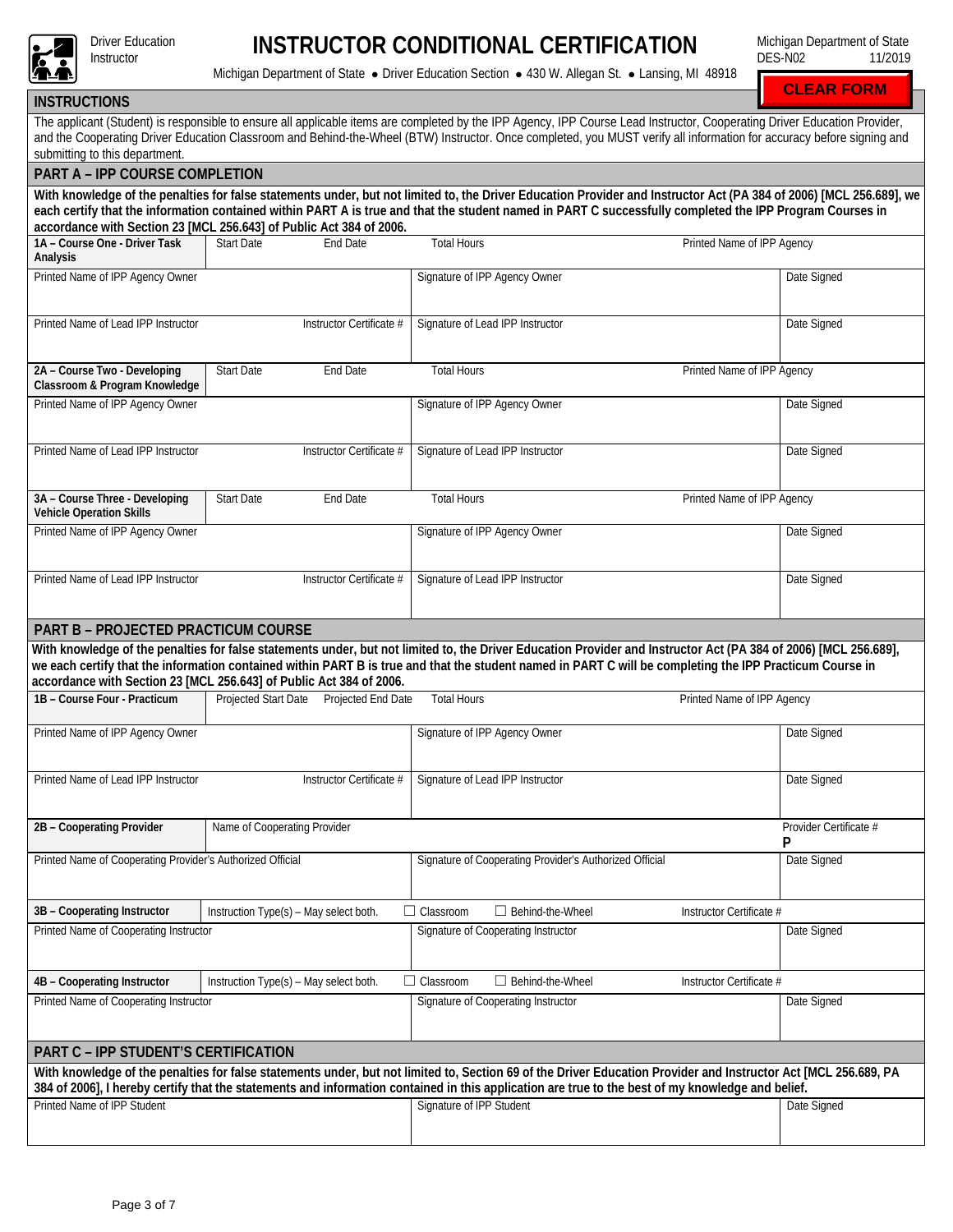

**INSTRUCTOR CONDITIONAL CERTIFICATION** 

Michigan Department of State DES-N02 11/2019

Michigan Department of State · Driver Education Section · 430 W. Allegan St. · Lansing, MI 48918

**CLEAR FORM**

| <b>INSTRUCTIONS</b>                                                                                                                                                                                     |                                                                     |                                                                                                                                                                                                                                                                                                                                                    |                            |  |  |  |  |  |  |
|---------------------------------------------------------------------------------------------------------------------------------------------------------------------------------------------------------|---------------------------------------------------------------------|----------------------------------------------------------------------------------------------------------------------------------------------------------------------------------------------------------------------------------------------------------------------------------------------------------------------------------------------------|----------------------------|--|--|--|--|--|--|
| submitting to this department.                                                                                                                                                                          |                                                                     | The applicant (Student) is responsible to ensure all applicable items are completed by the IPP Agency, IPP Course Lead Instructor, Cooperating Driver Education Provider,<br>and the Cooperating Driver Education Classroom and Behind-the-Wheel (BTW) Instructor. Once completed, you MUST verify all information for accuracy before signing and |                            |  |  |  |  |  |  |
| <b>PART A - IPP COURSE COMPLETION</b>                                                                                                                                                                   |                                                                     |                                                                                                                                                                                                                                                                                                                                                    |                            |  |  |  |  |  |  |
|                                                                                                                                                                                                         |                                                                     | With knowledge of the penalties for false statements under, but not limited to, the Driver Education Provider and Instructor Act (PA 384 of 2006) [MCL 256.689], we                                                                                                                                                                                |                            |  |  |  |  |  |  |
|                                                                                                                                                                                                         | accordance with Section 23 [MCL 256.643] of Public Act 384 of 2006. | each certify that the information contained within PART A is true and that the student named in PART C successfully completed the IPP Program Courses in                                                                                                                                                                                           |                            |  |  |  |  |  |  |
| 1A - Course One - Driver Task<br>Analysis                                                                                                                                                               | <b>Start Date</b><br><b>End Date</b>                                | <b>Total Hours</b>                                                                                                                                                                                                                                                                                                                                 | Printed Name of IPP Agency |  |  |  |  |  |  |
| Printed Name of IPP Agency Owner                                                                                                                                                                        |                                                                     | Signature of IPP Agency Owner                                                                                                                                                                                                                                                                                                                      | Date Signed                |  |  |  |  |  |  |
| Printed Name of Lead IPP Instructor                                                                                                                                                                     | Instructor Certificate #                                            | Signature of Lead IPP Instructor                                                                                                                                                                                                                                                                                                                   | Date Signed                |  |  |  |  |  |  |
| 2A - Course Two - Developing<br>Classroom & Program Knowledge                                                                                                                                           | <b>Start Date</b><br>End Date                                       | <b>Total Hours</b>                                                                                                                                                                                                                                                                                                                                 | Printed Name of IPP Agency |  |  |  |  |  |  |
| Printed Name of IPP Agency Owner                                                                                                                                                                        |                                                                     | Signature of IPP Agency Owner                                                                                                                                                                                                                                                                                                                      | Date Signed                |  |  |  |  |  |  |
| Printed Name of Lead IPP Instructor                                                                                                                                                                     | Instructor Certificate #                                            | Signature of Lead IPP Instructor                                                                                                                                                                                                                                                                                                                   | Date Signed                |  |  |  |  |  |  |
| 3A - Course Three - Developing<br><b>Vehicle Operation Skills</b>                                                                                                                                       | <b>Start Date</b><br>End Date                                       | <b>Total Hours</b>                                                                                                                                                                                                                                                                                                                                 | Printed Name of IPP Agency |  |  |  |  |  |  |
| Printed Name of IPP Agency Owner                                                                                                                                                                        |                                                                     | Signature of IPP Agency Owner                                                                                                                                                                                                                                                                                                                      | Date Signed                |  |  |  |  |  |  |
| Printed Name of Lead IPP Instructor                                                                                                                                                                     | Instructor Certificate #                                            | Signature of Lead IPP Instructor                                                                                                                                                                                                                                                                                                                   | Date Signed                |  |  |  |  |  |  |
| <b>PART B - PROJECTED PRACTICUM COURSE</b>                                                                                                                                                              |                                                                     |                                                                                                                                                                                                                                                                                                                                                    |                            |  |  |  |  |  |  |
|                                                                                                                                                                                                         | accordance with Section 23 [MCL 256.643] of Public Act 384 of 2006. | With knowledge of the penalties for false statements under, but not limited to, the Driver Education Provider and Instructor Act (PA 384 of 2006) [MCL 256.689],<br>we each certify that the information contained within PART B is true and that the student named in PART C will be completing the IPP Practicum Course in                       |                            |  |  |  |  |  |  |
| 1B - Course Four - Practicum                                                                                                                                                                            | Projected Start Date  Projected End Date                            | <b>Total Hours</b>                                                                                                                                                                                                                                                                                                                                 | Printed Name of IPP Agency |  |  |  |  |  |  |
| Printed Name of IPP Agency Owner                                                                                                                                                                        |                                                                     | Signature of IPP Agency Owner                                                                                                                                                                                                                                                                                                                      | Date Signed                |  |  |  |  |  |  |
| Printed Name of Lead IPP Instructor                                                                                                                                                                     | Instructor Certificate #                                            | Signature of Lead IPP Instructor                                                                                                                                                                                                                                                                                                                   | Date Signed                |  |  |  |  |  |  |
| 2B - Cooperating Provider                                                                                                                                                                               | Name of Cooperating Provider                                        |                                                                                                                                                                                                                                                                                                                                                    | Provider Certificate #     |  |  |  |  |  |  |
| Printed Name of Cooperating Provider's Authorized Official                                                                                                                                              |                                                                     | Signature of Cooperating Provider's Authorized Official                                                                                                                                                                                                                                                                                            | Date Signed                |  |  |  |  |  |  |
| 3B - Cooperating Instructor                                                                                                                                                                             | Instruction Type(s) - May select both.                              | $\Box$ Classroom<br>$\Box$ Behind-the-Wheel                                                                                                                                                                                                                                                                                                        | Instructor Certificate #   |  |  |  |  |  |  |
| Printed Name of Cooperating Instructor                                                                                                                                                                  |                                                                     | Signature of Cooperating Instructor                                                                                                                                                                                                                                                                                                                | Date Signed                |  |  |  |  |  |  |
| 4B - Cooperating Instructor                                                                                                                                                                             | Instruction Type(s) - May select both.                              | $\Box$ Behind-the-Wheel<br>$\Box$ Classroom                                                                                                                                                                                                                                                                                                        | Instructor Certificate #   |  |  |  |  |  |  |
| Printed Name of Cooperating Instructor                                                                                                                                                                  |                                                                     | Signature of Cooperating Instructor                                                                                                                                                                                                                                                                                                                | Date Signed                |  |  |  |  |  |  |
| PART C - IPP STUDENT'S CERTIFICATION<br>With knowledge of the penalties for false statements under, but not limited to, Section 69 of the Driver Education Provider and Instructor Act [MCL 256.689, PA |                                                                     |                                                                                                                                                                                                                                                                                                                                                    |                            |  |  |  |  |  |  |
|                                                                                                                                                                                                         |                                                                     | 384 of 2006], I hereby certify that the statements and information contained in this application are true to the best of my knowledge and belief.                                                                                                                                                                                                  |                            |  |  |  |  |  |  |
| Printed Name of IPP Student                                                                                                                                                                             |                                                                     | Signature of IPP Student                                                                                                                                                                                                                                                                                                                           | Date Signed                |  |  |  |  |  |  |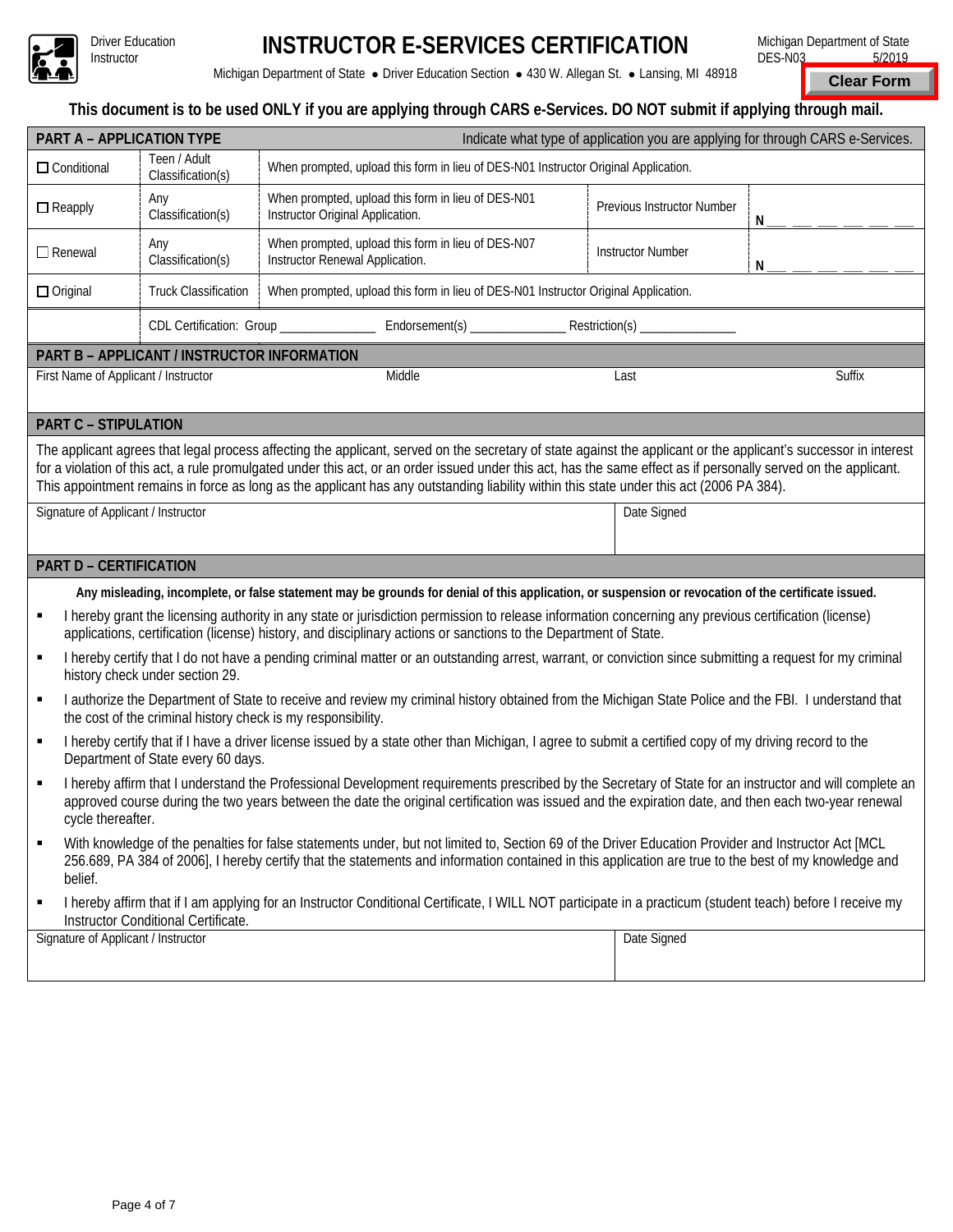

# **INSTRUCTOR E-SERVICES CERTIFICATION**

Michigan Department of State · Driver Education Section · 430 W. Allegan St. · Lansing, MI 48918

Michigan Department of State DES-N03 5/2019

**Clear Form**

### **This document is to be used ONLY if you are applying through CARS e-Services. DO NOT submit if applying through mail.**

|                                                                                                                                                                                                                                                                                                                                          |                                                              | This document is to be used ONLY if you are applying through CARS e-Services. DO NOT submit if applying through mail.                                                                                                                                                                                                                                                                                                                                                            |                            |        |  |  |  |  |  |
|------------------------------------------------------------------------------------------------------------------------------------------------------------------------------------------------------------------------------------------------------------------------------------------------------------------------------------------|--------------------------------------------------------------|----------------------------------------------------------------------------------------------------------------------------------------------------------------------------------------------------------------------------------------------------------------------------------------------------------------------------------------------------------------------------------------------------------------------------------------------------------------------------------|----------------------------|--------|--|--|--|--|--|
| PART A - APPLICATION TYPE<br>Indicate what type of application you are applying for through CARS e-Services.                                                                                                                                                                                                                             |                                                              |                                                                                                                                                                                                                                                                                                                                                                                                                                                                                  |                            |        |  |  |  |  |  |
| $\Box$ Conditional                                                                                                                                                                                                                                                                                                                       | Teen / Adult<br>Classification(s)                            | When prompted, upload this form in lieu of DES-N01 Instructor Original Application.                                                                                                                                                                                                                                                                                                                                                                                              |                            |        |  |  |  |  |  |
| $\Box$ Reapply                                                                                                                                                                                                                                                                                                                           | Any<br>Classification(s)                                     | When prompted, upload this form in lieu of DES-N01<br>Instructor Original Application.                                                                                                                                                                                                                                                                                                                                                                                           | Previous Instructor Number | N      |  |  |  |  |  |
| $\Box$ Renewal                                                                                                                                                                                                                                                                                                                           | Any<br>Classification(s)                                     | When prompted, upload this form in lieu of DES-N07<br>Instructor Renewal Application.                                                                                                                                                                                                                                                                                                                                                                                            | <b>Instructor Number</b>   | N      |  |  |  |  |  |
| $\Box$ Original                                                                                                                                                                                                                                                                                                                          | <b>Truck Classification</b>                                  | When prompted, upload this form in lieu of DES-N01 Instructor Original Application.                                                                                                                                                                                                                                                                                                                                                                                              |                            |        |  |  |  |  |  |
| CDL Certification: Group _____________                                                                                                                                                                                                                                                                                                   |                                                              |                                                                                                                                                                                                                                                                                                                                                                                                                                                                                  |                            |        |  |  |  |  |  |
|                                                                                                                                                                                                                                                                                                                                          | PART B - APPLICANT / INSTRUCTOR INFORMATION                  |                                                                                                                                                                                                                                                                                                                                                                                                                                                                                  |                            |        |  |  |  |  |  |
| First Name of Applicant / Instructor                                                                                                                                                                                                                                                                                                     |                                                              | Middle                                                                                                                                                                                                                                                                                                                                                                                                                                                                           | Last                       | Suffix |  |  |  |  |  |
| <b>PART C - STIPULATION</b>                                                                                                                                                                                                                                                                                                              |                                                              |                                                                                                                                                                                                                                                                                                                                                                                                                                                                                  |                            |        |  |  |  |  |  |
| Signature of Applicant / Instructor                                                                                                                                                                                                                                                                                                      |                                                              | The applicant agrees that legal process affecting the applicant, served on the secretary of state against the applicant or the applicant's successor in interest<br>for a violation of this act, a rule promulgated under this act, or an order issued under this act, has the same effect as if personally served on the applicant.<br>This appointment remains in force as long as the applicant has any outstanding liability within this state under this act (2006 PA 384). | Date Signed                |        |  |  |  |  |  |
|                                                                                                                                                                                                                                                                                                                                          |                                                              |                                                                                                                                                                                                                                                                                                                                                                                                                                                                                  |                            |        |  |  |  |  |  |
| <b>PART D - CERTIFICATION</b>                                                                                                                                                                                                                                                                                                            |                                                              |                                                                                                                                                                                                                                                                                                                                                                                                                                                                                  |                            |        |  |  |  |  |  |
|                                                                                                                                                                                                                                                                                                                                          |                                                              | Any misleading, incomplete, or false statement may be grounds for denial of this application, or suspension or revocation of the certificate issued.                                                                                                                                                                                                                                                                                                                             |                            |        |  |  |  |  |  |
| П                                                                                                                                                                                                                                                                                                                                        |                                                              | I hereby grant the licensing authority in any state or jurisdiction permission to release information concerning any previous certification (license)<br>applications, certification (license) history, and disciplinary actions or sanctions to the Department of State.                                                                                                                                                                                                        |                            |        |  |  |  |  |  |
| П                                                                                                                                                                                                                                                                                                                                        | history check under section 29.                              | I hereby certify that I do not have a pending criminal matter or an outstanding arrest, warrant, or conviction since submitting a request for my criminal                                                                                                                                                                                                                                                                                                                        |                            |        |  |  |  |  |  |
| Е                                                                                                                                                                                                                                                                                                                                        | the cost of the criminal history check is my responsibility. | I authorize the Department of State to receive and review my criminal history obtained from the Michigan State Police and the FBI. I understand that                                                                                                                                                                                                                                                                                                                             |                            |        |  |  |  |  |  |
| I hereby certify that if I have a driver license issued by a state other than Michigan, I agree to submit a certified copy of my driving record to the<br>٠<br>Department of State every 60 days.                                                                                                                                        |                                                              |                                                                                                                                                                                                                                                                                                                                                                                                                                                                                  |                            |        |  |  |  |  |  |
| I hereby affirm that I understand the Professional Development requirements prescribed by the Secretary of State for an instructor and will complete an<br>П<br>approved course during the two years between the date the original certification was issued and the expiration date, and then each two-year renewal<br>cycle thereafter. |                                                              |                                                                                                                                                                                                                                                                                                                                                                                                                                                                                  |                            |        |  |  |  |  |  |
| With knowledge of the penalties for false statements under, but not limited to, Section 69 of the Driver Education Provider and Instructor Act [MCL<br>٠<br>256.689, PA 384 of 2006], I hereby certify that the statements and information contained in this application are true to the best of my knowledge and<br>belief.             |                                                              |                                                                                                                                                                                                                                                                                                                                                                                                                                                                                  |                            |        |  |  |  |  |  |
| I hereby affirm that if I am applying for an Instructor Conditional Certificate, I WILL NOT participate in a practicum (student teach) before I receive my<br>٠<br>Instructor Conditional Certificate.                                                                                                                                   |                                                              |                                                                                                                                                                                                                                                                                                                                                                                                                                                                                  |                            |        |  |  |  |  |  |
| Signature of Applicant / Instructor                                                                                                                                                                                                                                                                                                      |                                                              |                                                                                                                                                                                                                                                                                                                                                                                                                                                                                  | Date Signed                |        |  |  |  |  |  |
|                                                                                                                                                                                                                                                                                                                                          |                                                              |                                                                                                                                                                                                                                                                                                                                                                                                                                                                                  |                            |        |  |  |  |  |  |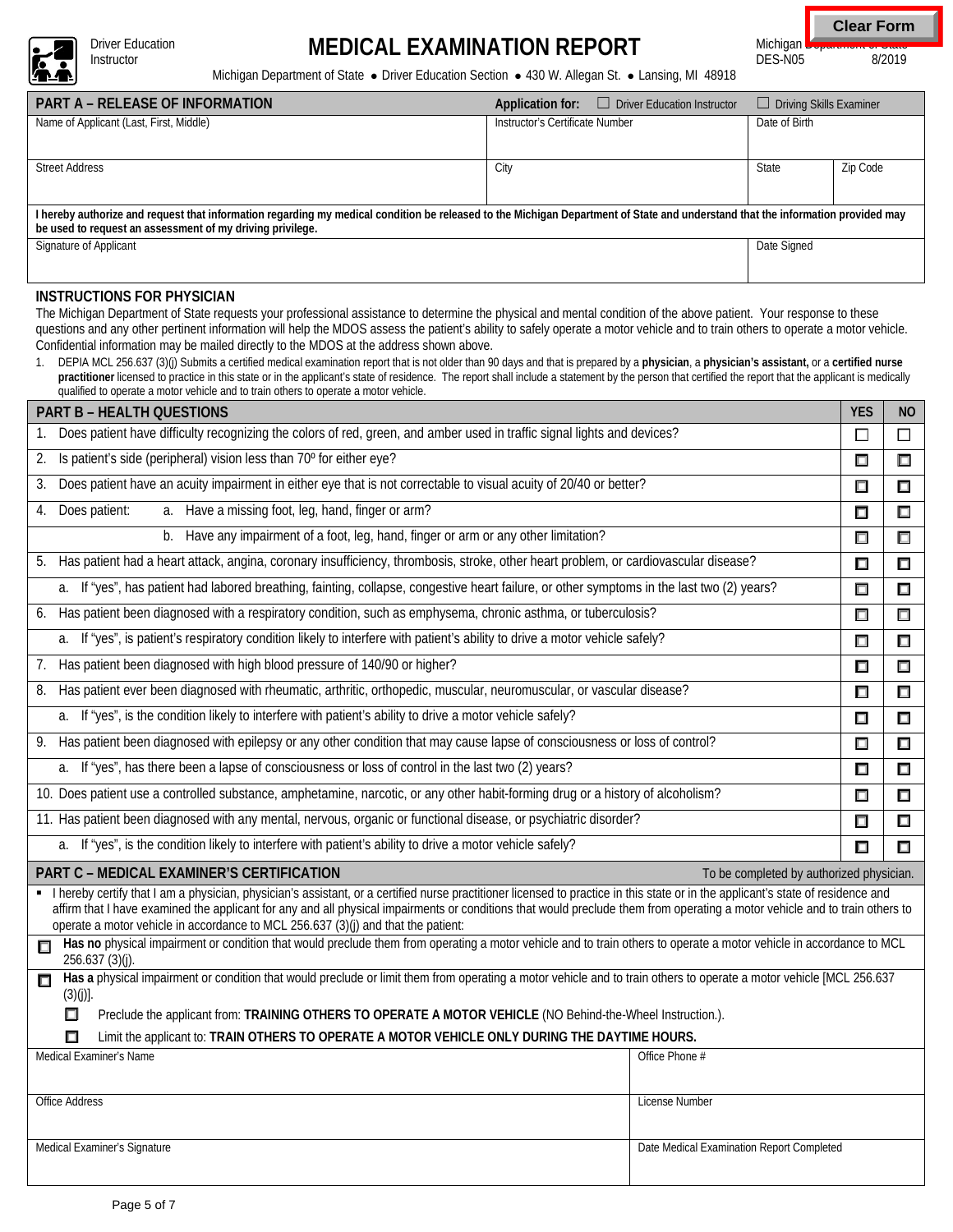

Driver Education<br>Instructor

# Driver Education **MEDICAL EXAMINATION REPORT**

**Clear Form**

Michigan Department of Grate<br>DES-N05 8/2019  $DES-N05$ 

Michigan Department of State · Driver Education Section · 430 W. Allegan St. · Lansing, MI 48918

| <b>PART A – RELEASE OF INFORMATION</b>                                                                                                                                                                                                                                                                                                                                                                                                                                         | Application for:                | $\Box$ Driver Education Instructor | $\Box$ Driving Skills Examiner |          |  |  |  |  |  |
|--------------------------------------------------------------------------------------------------------------------------------------------------------------------------------------------------------------------------------------------------------------------------------------------------------------------------------------------------------------------------------------------------------------------------------------------------------------------------------|---------------------------------|------------------------------------|--------------------------------|----------|--|--|--|--|--|
| Name of Applicant (Last, First, Middle)                                                                                                                                                                                                                                                                                                                                                                                                                                        | Instructor's Certificate Number |                                    | Date of Birth                  |          |  |  |  |  |  |
| <b>Street Address</b>                                                                                                                                                                                                                                                                                                                                                                                                                                                          | City                            |                                    | State                          | Zip Code |  |  |  |  |  |
| I hereby authorize and request that information regarding my medical condition be released to the Michigan Department of State and understand that the information provided may<br>be used to request an assessment of my driving privilege.                                                                                                                                                                                                                                   |                                 |                                    |                                |          |  |  |  |  |  |
| Signature of Applicant                                                                                                                                                                                                                                                                                                                                                                                                                                                         | Date Signed                     |                                    |                                |          |  |  |  |  |  |
| INSTRUCTIONS FOR PHYSICIAN<br>The Michigan Department of State requests your professional assistance to determine the physical and mental condition of the above patient. Your response to these<br>questions and any other pertinent information will help the MDOS assess the patient's ability to safely operate a motor vehicle and to train others to operate a motor vehicle.<br>Confidential information may be mailed directly to the MDOS at the address shown above. |                                 |                                    |                                |          |  |  |  |  |  |

1. DEPIA MCL 256.637 (3)(j) Submits a certified medical examination report that is not older than 90 days and that is prepared by a **physician**, a **physician's assistant,** or a **certified nurse**  practitioner licensed to practice in this state or in the applicant's state of residence. The report shall include a statement by the person that certified the report that the applicant is medically qualified to operate a motor vehicle and to train others to operate a motor vehicle.

| <b>PART B - HEALTH QUESTIONS</b>                                                                                                                                                                                                                                                                                                                                                                                                                     | <b>YES</b> | <b>NO</b> |  |  |  |  |
|------------------------------------------------------------------------------------------------------------------------------------------------------------------------------------------------------------------------------------------------------------------------------------------------------------------------------------------------------------------------------------------------------------------------------------------------------|------------|-----------|--|--|--|--|
| Does patient have difficulty recognizing the colors of red, green, and amber used in traffic signal lights and devices?                                                                                                                                                                                                                                                                                                                              |            |           |  |  |  |  |
| Is patient's side (peripheral) vision less than 70° for either eye?<br>2.                                                                                                                                                                                                                                                                                                                                                                            |            |           |  |  |  |  |
| Does patient have an acuity impairment in either eye that is not correctable to visual acuity of 20/40 or better?<br>3.                                                                                                                                                                                                                                                                                                                              | Ω          | $\Box$    |  |  |  |  |
| a. Have a missing foot, leg, hand, finger or arm?<br>Does patient:<br>4.                                                                                                                                                                                                                                                                                                                                                                             | $\Box$     | $\Box$    |  |  |  |  |
| Have any impairment of a foot, leg, hand, finger or arm or any other limitation?<br>b.                                                                                                                                                                                                                                                                                                                                                               | $\Box$     | $\Box$    |  |  |  |  |
| 5. Has patient had a heart attack, angina, coronary insufficiency, thrombosis, stroke, other heart problem, or cardiovascular disease?                                                                                                                                                                                                                                                                                                               | □          | $\Box$    |  |  |  |  |
| a. If "yes", has patient had labored breathing, fainting, collapse, congestive heart failure, or other symptoms in the last two (2) years?                                                                                                                                                                                                                                                                                                           | ⊡          | $\Box$    |  |  |  |  |
| Has patient been diagnosed with a respiratory condition, such as emphysema, chronic asthma, or tuberculosis?<br>6.                                                                                                                                                                                                                                                                                                                                   | □          | $\Box$    |  |  |  |  |
| If "yes", is patient's respiratory condition likely to interfere with patient's ability to drive a motor vehicle safely?<br>a.                                                                                                                                                                                                                                                                                                                       | □          | $\Box$    |  |  |  |  |
| Has patient been diagnosed with high blood pressure of 140/90 or higher?<br>7.                                                                                                                                                                                                                                                                                                                                                                       | □          | $\Box$    |  |  |  |  |
| Has patient ever been diagnosed with rheumatic, arthritic, orthopedic, muscular, neuromuscular, or vascular disease?<br>8.                                                                                                                                                                                                                                                                                                                           | $\Box$     | $\Box$    |  |  |  |  |
| a. If "yes", is the condition likely to interfere with patient's ability to drive a motor vehicle safely?                                                                                                                                                                                                                                                                                                                                            | $\Box$     | $\Box$    |  |  |  |  |
| 9. Has patient been diagnosed with epilepsy or any other condition that may cause lapse of consciousness or loss of control?                                                                                                                                                                                                                                                                                                                         | $\Box$     | $\Box$    |  |  |  |  |
| If "yes", has there been a lapse of consciousness or loss of control in the last two (2) years?<br>a.                                                                                                                                                                                                                                                                                                                                                |            |           |  |  |  |  |
| 10. Does patient use a controlled substance, amphetamine, narcotic, or any other habit-forming drug or a history of alcoholism?                                                                                                                                                                                                                                                                                                                      |            |           |  |  |  |  |
| 11. Has patient been diagnosed with any mental, nervous, organic or functional disease, or psychiatric disorder?                                                                                                                                                                                                                                                                                                                                     |            |           |  |  |  |  |
| If "yes", is the condition likely to interfere with patient's ability to drive a motor vehicle safely?<br>a.                                                                                                                                                                                                                                                                                                                                         |            |           |  |  |  |  |
| PART C - MEDICAL EXAMINER'S CERTIFICATION<br>To be completed by authorized physician.                                                                                                                                                                                                                                                                                                                                                                |            |           |  |  |  |  |
| I hereby certify that I am a physician, physician's assistant, or a certified nurse practitioner licensed to practice in this state or in the applicant's state of residence and<br>affirm that I have examined the applicant for any and all physical impairments or conditions that would preclude them from operating a motor vehicle and to train others to<br>operate a motor vehicle in accordance to MCL 256.637 (3)(j) and that the patient: |            |           |  |  |  |  |
| Has no physical impairment or condition that would preclude them from operating a motor vehicle and to train others to operate a motor vehicle in accordance to MCL<br>П<br>$256.637(3)(j)$ .                                                                                                                                                                                                                                                        |            |           |  |  |  |  |
| Has a physical impairment or condition that would preclude or limit them from operating a motor vehicle and to train others to operate a motor vehicle [MCL 256.637<br>П<br>$(3)(j)$ ].                                                                                                                                                                                                                                                              |            |           |  |  |  |  |
| ⊓<br>Preclude the applicant from: TRAINING OTHERS TO OPERATE A MOTOR VEHICLE (NO Behind-the-Wheel Instruction.).                                                                                                                                                                                                                                                                                                                                     |            |           |  |  |  |  |
| Limit the applicant to: TRAIN OTHERS TO OPERATE A MOTOR VEHICLE ONLY DURING THE DAYTIME HOURS.<br>Medical Examiner's Name<br>Office Phone #                                                                                                                                                                                                                                                                                                          |            |           |  |  |  |  |
|                                                                                                                                                                                                                                                                                                                                                                                                                                                      |            |           |  |  |  |  |
| Office Address<br>License Number                                                                                                                                                                                                                                                                                                                                                                                                                     |            |           |  |  |  |  |
|                                                                                                                                                                                                                                                                                                                                                                                                                                                      |            |           |  |  |  |  |
| Date Medical Examination Report Completed<br>Medical Examiner's Signature                                                                                                                                                                                                                                                                                                                                                                            |            |           |  |  |  |  |
|                                                                                                                                                                                                                                                                                                                                                                                                                                                      |            |           |  |  |  |  |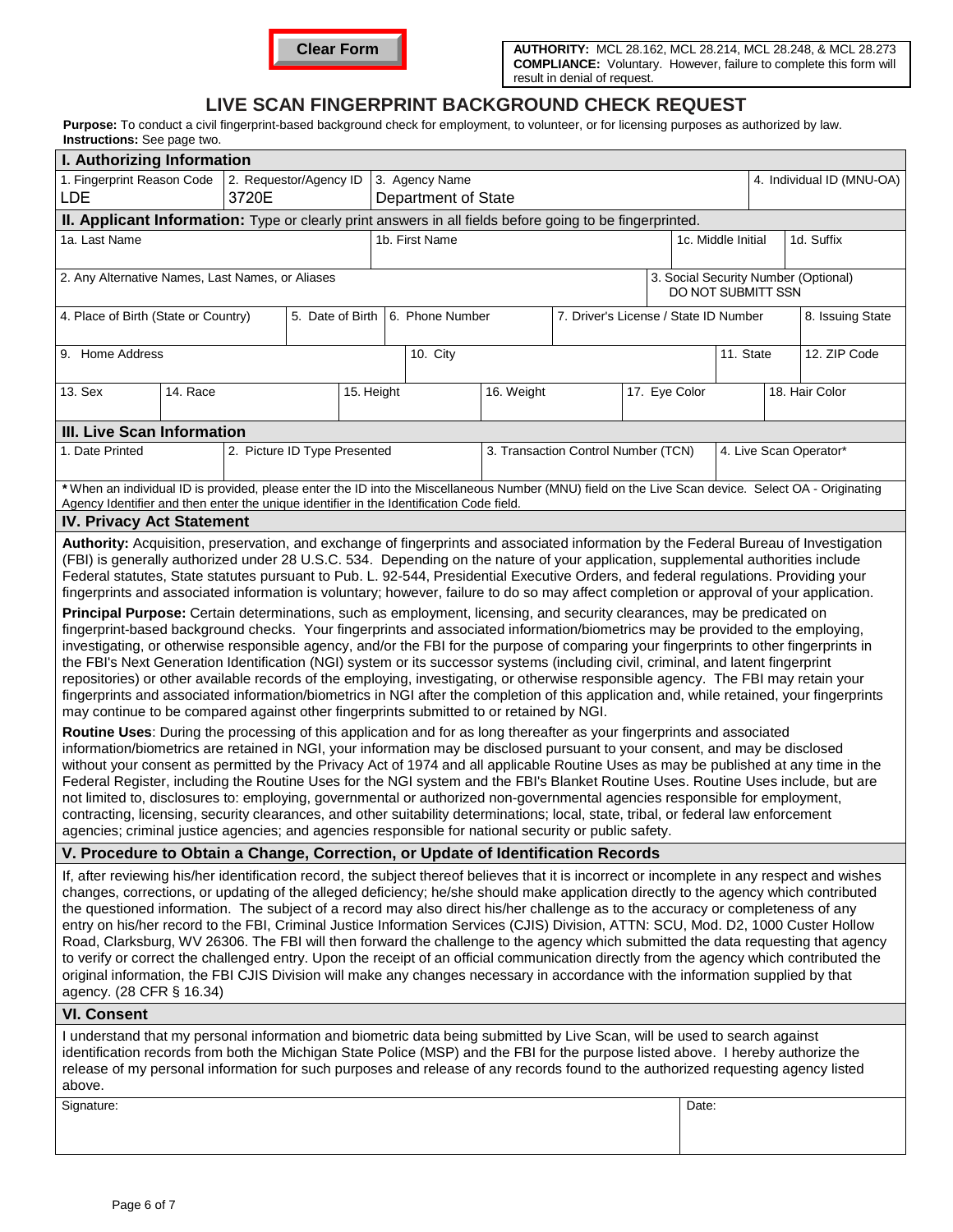

## **LIVE SCAN FINGERPRINT BACKGROUND CHECK REQUEST**

Purpose: To conduct a civil fingerprint-based background check for employment, to volunteer, or for licensing purposes as authorized by law. **Instructions:** See page two.

| man donona. Occ page noo.                                                                                                                                                                                                                                                                                                                                                                                                                                                                                                                                                                                                                                                                                                                                                                                                                                                                                                                                                                                                                                                                                                                                                                                                                                                                                                                                                                                                                                                                                                                                                                                                                                                                                                                                                                                                                                                                                                                                                                                                                                                                                                                                                                                                                                                                                                                                                                                |                              |  |            |          |                                  |            |                                       |                           |  |                                  |                  |                                      |  |
|----------------------------------------------------------------------------------------------------------------------------------------------------------------------------------------------------------------------------------------------------------------------------------------------------------------------------------------------------------------------------------------------------------------------------------------------------------------------------------------------------------------------------------------------------------------------------------------------------------------------------------------------------------------------------------------------------------------------------------------------------------------------------------------------------------------------------------------------------------------------------------------------------------------------------------------------------------------------------------------------------------------------------------------------------------------------------------------------------------------------------------------------------------------------------------------------------------------------------------------------------------------------------------------------------------------------------------------------------------------------------------------------------------------------------------------------------------------------------------------------------------------------------------------------------------------------------------------------------------------------------------------------------------------------------------------------------------------------------------------------------------------------------------------------------------------------------------------------------------------------------------------------------------------------------------------------------------------------------------------------------------------------------------------------------------------------------------------------------------------------------------------------------------------------------------------------------------------------------------------------------------------------------------------------------------------------------------------------------------------------------------------------------------|------------------------------|--|------------|----------|----------------------------------|------------|---------------------------------------|---------------------------|--|----------------------------------|------------------|--------------------------------------|--|
| I. Authorizing Information                                                                                                                                                                                                                                                                                                                                                                                                                                                                                                                                                                                                                                                                                                                                                                                                                                                                                                                                                                                                                                                                                                                                                                                                                                                                                                                                                                                                                                                                                                                                                                                                                                                                                                                                                                                                                                                                                                                                                                                                                                                                                                                                                                                                                                                                                                                                                                               |                              |  |            |          |                                  |            |                                       |                           |  |                                  |                  |                                      |  |
| 1. Fingerprint Reason Code<br>2. Requestor/Agency ID<br>3. Agency Name<br>3720E<br>LDE<br>Department of State                                                                                                                                                                                                                                                                                                                                                                                                                                                                                                                                                                                                                                                                                                                                                                                                                                                                                                                                                                                                                                                                                                                                                                                                                                                                                                                                                                                                                                                                                                                                                                                                                                                                                                                                                                                                                                                                                                                                                                                                                                                                                                                                                                                                                                                                                            |                              |  |            |          |                                  |            |                                       | 4. Individual ID (MNU-OA) |  |                                  |                  |                                      |  |
| II. Applicant Information: Type or clearly print answers in all fields before going to be fingerprinted.                                                                                                                                                                                                                                                                                                                                                                                                                                                                                                                                                                                                                                                                                                                                                                                                                                                                                                                                                                                                                                                                                                                                                                                                                                                                                                                                                                                                                                                                                                                                                                                                                                                                                                                                                                                                                                                                                                                                                                                                                                                                                                                                                                                                                                                                                                 |                              |  |            |          |                                  |            |                                       |                           |  |                                  |                  |                                      |  |
| 1a. Last Name                                                                                                                                                                                                                                                                                                                                                                                                                                                                                                                                                                                                                                                                                                                                                                                                                                                                                                                                                                                                                                                                                                                                                                                                                                                                                                                                                                                                                                                                                                                                                                                                                                                                                                                                                                                                                                                                                                                                                                                                                                                                                                                                                                                                                                                                                                                                                                                            |                              |  |            |          | 1b. First Name                   |            |                                       |                           |  | 1d. Suffix<br>1c. Middle Initial |                  |                                      |  |
| 2. Any Alternative Names, Last Names, or Aliases                                                                                                                                                                                                                                                                                                                                                                                                                                                                                                                                                                                                                                                                                                                                                                                                                                                                                                                                                                                                                                                                                                                                                                                                                                                                                                                                                                                                                                                                                                                                                                                                                                                                                                                                                                                                                                                                                                                                                                                                                                                                                                                                                                                                                                                                                                                                                         |                              |  |            |          |                                  |            |                                       |                           |  | DO NOT SUBMITT SSN               |                  | 3. Social Security Number (Optional) |  |
| 4. Place of Birth (State or Country)                                                                                                                                                                                                                                                                                                                                                                                                                                                                                                                                                                                                                                                                                                                                                                                                                                                                                                                                                                                                                                                                                                                                                                                                                                                                                                                                                                                                                                                                                                                                                                                                                                                                                                                                                                                                                                                                                                                                                                                                                                                                                                                                                                                                                                                                                                                                                                     |                              |  |            |          | 5. Date of Birth 6. Phone Number |            | 7. Driver's License / State ID Number |                           |  |                                  | 8. Issuing State |                                      |  |
| 9. Home Address                                                                                                                                                                                                                                                                                                                                                                                                                                                                                                                                                                                                                                                                                                                                                                                                                                                                                                                                                                                                                                                                                                                                                                                                                                                                                                                                                                                                                                                                                                                                                                                                                                                                                                                                                                                                                                                                                                                                                                                                                                                                                                                                                                                                                                                                                                                                                                                          |                              |  |            | 10. City |                                  |            |                                       |                           |  | 11. State                        |                  | 12. ZIP Code                         |  |
| 13. Sex<br>14. Race                                                                                                                                                                                                                                                                                                                                                                                                                                                                                                                                                                                                                                                                                                                                                                                                                                                                                                                                                                                                                                                                                                                                                                                                                                                                                                                                                                                                                                                                                                                                                                                                                                                                                                                                                                                                                                                                                                                                                                                                                                                                                                                                                                                                                                                                                                                                                                                      |                              |  | 15. Height |          |                                  | 16. Weight | 17. Eye Color                         |                           |  |                                  | 18. Hair Color   |                                      |  |
| <b>III. Live Scan Information</b>                                                                                                                                                                                                                                                                                                                                                                                                                                                                                                                                                                                                                                                                                                                                                                                                                                                                                                                                                                                                                                                                                                                                                                                                                                                                                                                                                                                                                                                                                                                                                                                                                                                                                                                                                                                                                                                                                                                                                                                                                                                                                                                                                                                                                                                                                                                                                                        |                              |  |            |          |                                  |            |                                       |                           |  |                                  |                  |                                      |  |
| 1. Date Printed                                                                                                                                                                                                                                                                                                                                                                                                                                                                                                                                                                                                                                                                                                                                                                                                                                                                                                                                                                                                                                                                                                                                                                                                                                                                                                                                                                                                                                                                                                                                                                                                                                                                                                                                                                                                                                                                                                                                                                                                                                                                                                                                                                                                                                                                                                                                                                                          | 2. Picture ID Type Presented |  |            |          |                                  |            | 3. Transaction Control Number (TCN)   |                           |  |                                  |                  | 4. Live Scan Operator*               |  |
| *When an individual ID is provided, please enter the ID into the Miscellaneous Number (MNU) field on the Live Scan device. Select OA - Originating<br>Agency Identifier and then enter the unique identifier in the Identification Code field.                                                                                                                                                                                                                                                                                                                                                                                                                                                                                                                                                                                                                                                                                                                                                                                                                                                                                                                                                                                                                                                                                                                                                                                                                                                                                                                                                                                                                                                                                                                                                                                                                                                                                                                                                                                                                                                                                                                                                                                                                                                                                                                                                           |                              |  |            |          |                                  |            |                                       |                           |  |                                  |                  |                                      |  |
| <b>IV. Privacy Act Statement</b>                                                                                                                                                                                                                                                                                                                                                                                                                                                                                                                                                                                                                                                                                                                                                                                                                                                                                                                                                                                                                                                                                                                                                                                                                                                                                                                                                                                                                                                                                                                                                                                                                                                                                                                                                                                                                                                                                                                                                                                                                                                                                                                                                                                                                                                                                                                                                                         |                              |  |            |          |                                  |            |                                       |                           |  |                                  |                  |                                      |  |
| Authority: Acquisition, preservation, and exchange of fingerprints and associated information by the Federal Bureau of Investigation<br>(FBI) is generally authorized under 28 U.S.C. 534. Depending on the nature of your application, supplemental authorities include<br>Federal statutes, State statutes pursuant to Pub. L. 92-544, Presidential Executive Orders, and federal regulations. Providing your<br>fingerprints and associated information is voluntary; however, failure to do so may affect completion or approval of your application.<br>Principal Purpose: Certain determinations, such as employment, licensing, and security clearances, may be predicated on<br>fingerprint-based background checks. Your fingerprints and associated information/biometrics may be provided to the employing,<br>investigating, or otherwise responsible agency, and/or the FBI for the purpose of comparing your fingerprints to other fingerprints in<br>the FBI's Next Generation Identification (NGI) system or its successor systems (including civil, criminal, and latent fingerprint<br>repositories) or other available records of the employing, investigating, or otherwise responsible agency. The FBI may retain your<br>fingerprints and associated information/biometrics in NGI after the completion of this application and, while retained, your fingerprints<br>may continue to be compared against other fingerprints submitted to or retained by NGI.<br>Routine Uses: During the processing of this application and for as long thereafter as your fingerprints and associated<br>information/biometrics are retained in NGI, your information may be disclosed pursuant to your consent, and may be disclosed<br>without your consent as permitted by the Privacy Act of 1974 and all applicable Routine Uses as may be published at any time in the<br>Federal Register, including the Routine Uses for the NGI system and the FBI's Blanket Routine Uses. Routine Uses include, but are<br>not limited to, disclosures to: employing, governmental or authorized non-governmental agencies responsible for employment,<br>contracting, licensing, security clearances, and other suitability determinations; local, state, tribal, or federal law enforcement<br>agencies; criminal justice agencies; and agencies responsible for national security or public safety. |                              |  |            |          |                                  |            |                                       |                           |  |                                  |                  |                                      |  |
| V. Procedure to Obtain a Change, Correction, or Update of Identification Records                                                                                                                                                                                                                                                                                                                                                                                                                                                                                                                                                                                                                                                                                                                                                                                                                                                                                                                                                                                                                                                                                                                                                                                                                                                                                                                                                                                                                                                                                                                                                                                                                                                                                                                                                                                                                                                                                                                                                                                                                                                                                                                                                                                                                                                                                                                         |                              |  |            |          |                                  |            |                                       |                           |  |                                  |                  |                                      |  |
| If, after reviewing his/her identification record, the subject thereof believes that it is incorrect or incomplete in any respect and wishes<br>changes, corrections, or updating of the alleged deficiency; he/she should make application directly to the agency which contributed<br>the questioned information. The subject of a record may also direct his/her challenge as to the accuracy or completeness of any<br>entry on his/her record to the FBI, Criminal Justice Information Services (CJIS) Division, ATTN: SCU, Mod. D2, 1000 Custer Hollow<br>Road, Clarksburg, WV 26306. The FBI will then forward the challenge to the agency which submitted the data requesting that agency<br>to verify or correct the challenged entry. Upon the receipt of an official communication directly from the agency which contributed the<br>original information, the FBI CJIS Division will make any changes necessary in accordance with the information supplied by that<br>agency. (28 CFR § 16.34)                                                                                                                                                                                                                                                                                                                                                                                                                                                                                                                                                                                                                                                                                                                                                                                                                                                                                                                                                                                                                                                                                                                                                                                                                                                                                                                                                                                              |                              |  |            |          |                                  |            |                                       |                           |  |                                  |                  |                                      |  |
| <b>VI. Consent</b>                                                                                                                                                                                                                                                                                                                                                                                                                                                                                                                                                                                                                                                                                                                                                                                                                                                                                                                                                                                                                                                                                                                                                                                                                                                                                                                                                                                                                                                                                                                                                                                                                                                                                                                                                                                                                                                                                                                                                                                                                                                                                                                                                                                                                                                                                                                                                                                       |                              |  |            |          |                                  |            |                                       |                           |  |                                  |                  |                                      |  |
| I understand that my personal information and biometric data being submitted by Live Scan, will be used to search against<br>identification records from both the Michigan State Police (MSP) and the FBI for the purpose listed above. I hereby authorize the<br>release of my personal information for such purposes and release of any records found to the authorized requesting agency listed<br>above.                                                                                                                                                                                                                                                                                                                                                                                                                                                                                                                                                                                                                                                                                                                                                                                                                                                                                                                                                                                                                                                                                                                                                                                                                                                                                                                                                                                                                                                                                                                                                                                                                                                                                                                                                                                                                                                                                                                                                                                             |                              |  |            |          |                                  |            |                                       |                           |  |                                  |                  |                                      |  |
| Signature:<br>Date:                                                                                                                                                                                                                                                                                                                                                                                                                                                                                                                                                                                                                                                                                                                                                                                                                                                                                                                                                                                                                                                                                                                                                                                                                                                                                                                                                                                                                                                                                                                                                                                                                                                                                                                                                                                                                                                                                                                                                                                                                                                                                                                                                                                                                                                                                                                                                                                      |                              |  |            |          |                                  |            |                                       |                           |  |                                  |                  |                                      |  |